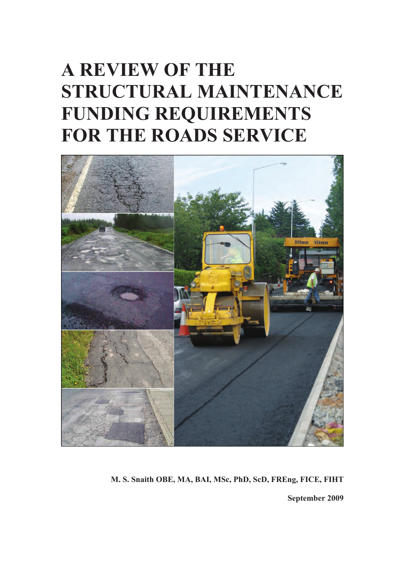# **A REVIEW OF THE STRUCTURAL MAINTENANCE FUNDING REQUIREMENTS FOR THE ROADS SERVICE**



**M. S. Snaith OBE, MA, BAI, MSc, PhD, ScD, FREng, FICE, FIHT September 2009**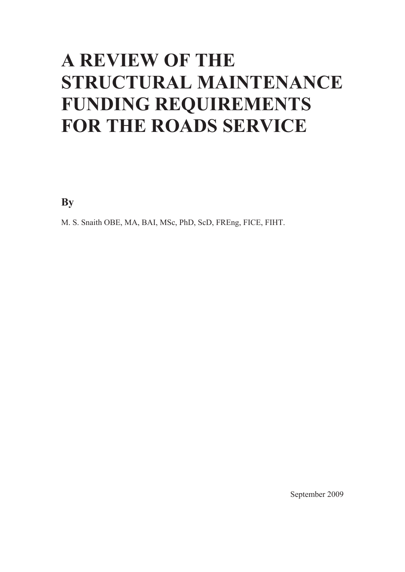# **A REVIEW OF THE STRUCTURAL MAINTENANCE FUNDING REQUIREMENTS FOR THE ROADS SERVICE**

**By** 

M. S. Snaith OBE, MA, BAI, MSc, PhD, ScD, FREng, FICE, FIHT.

September 2009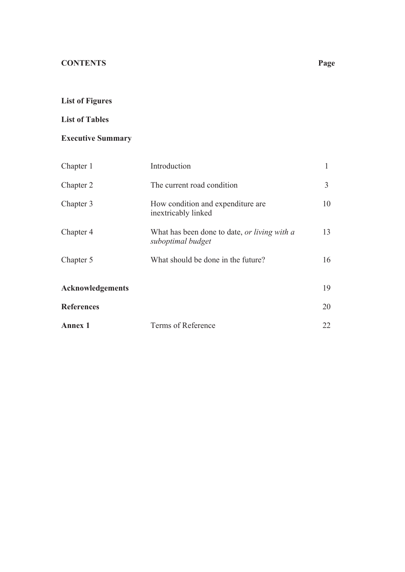## **List of Figures**

## **List of Tables**

## **Executive Summary**

| Chapter 1         | Introduction                                                             |    |
|-------------------|--------------------------------------------------------------------------|----|
| Chapter 2         | The current road condition                                               | 3  |
| Chapter 3         | How condition and expenditure are<br>inextricably linked                 | 10 |
| Chapter 4         | What has been done to date, <i>or living with a</i><br>suboptimal budget | 13 |
| Chapter 5         | What should be done in the future?                                       | 16 |
| Acknowledgements  |                                                                          | 19 |
| <b>References</b> |                                                                          | 20 |
| <b>Annex 1</b>    | Terms of Reference                                                       | 22 |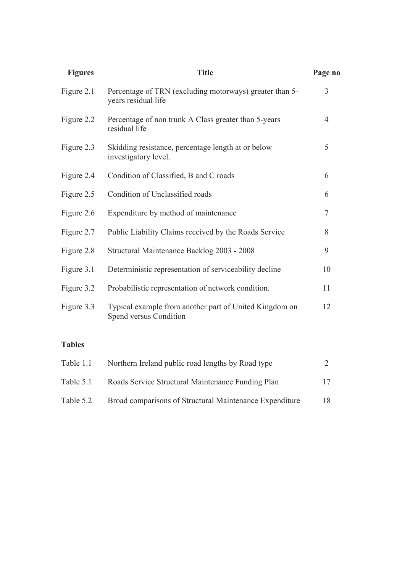| <b>Figures</b> | <b>Title</b>                                                                     | Page no        |
|----------------|----------------------------------------------------------------------------------|----------------|
| Figure 2.1     | Percentage of TRN (excluding motorways) greater than 5-<br>years residual life   | 3              |
| Figure 2.2     | Percentage of non trunk A Class greater than 5-years<br>residual life            | $\overline{4}$ |
| Figure 2.3     | Skidding resistance, percentage length at or below<br>investigatory level.       | 5              |
| Figure 2.4     | Condition of Classified, B and C roads                                           | 6              |
| Figure 2.5     | Condition of Unclassified roads                                                  | 6              |
| Figure 2.6     | Expenditure by method of maintenance                                             | $\tau$         |
| Figure 2.7     | Public Liability Claims received by the Roads Service                            | 8              |
| Figure 2.8     | Structural Maintenance Backlog 2003 - 2008                                       | 9              |
| Figure 3.1     | Deterministic representation of serviceability decline                           | 10             |
| Figure 3.2     | Probabilistic representation of network condition.                               | 11             |
| Figure 3.3     | Typical example from another part of United Kingdom on<br>Spend versus Condition | 12             |
|                |                                                                                  |                |

## **Tables**

| Table 1.1 | Northern Ireland public road lengths by Road type       |    |
|-----------|---------------------------------------------------------|----|
| Table 5.1 | Roads Service Structural Maintenance Funding Plan       | 17 |
| Table 5.2 | Broad comparisons of Structural Maintenance Expenditure | 18 |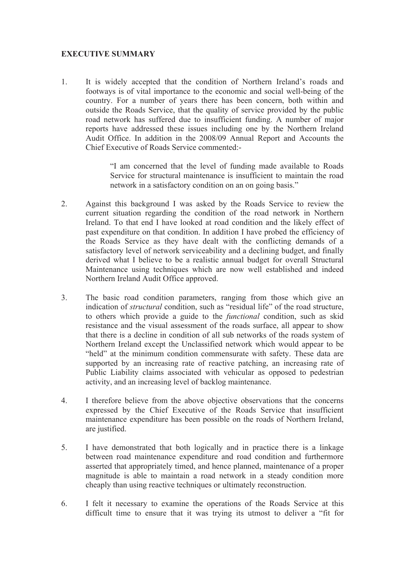## **EXECUTIVE SUMMARY**

1. It is widely accepted that the condition of Northern Ireland's roads and footways is of vital importance to the economic and social well-being of the country. For a number of years there has been concern, both within and outside the Roads Service, that the quality of service provided by the public road network has suffered due to insufficient funding. A number of major reports have addressed these issues including one by the Northern Ireland Audit Office. In addition in the 2008/09 Annual Report and Accounts the Chief Executive of Roads Service commented:-

> "I am concerned that the level of funding made available to Roads Service for structural maintenance is insufficient to maintain the road network in a satisfactory condition on an on going basis."

- 2. Against this background I was asked by the Roads Service to review the current situation regarding the condition of the road network in Northern Ireland. To that end I have looked at road condition and the likely effect of past expenditure on that condition. In addition I have probed the efficiency of the Roads Service as they have dealt with the conflicting demands of a satisfactory level of network serviceability and a declining budget, and finally derived what I believe to be a realistic annual budget for overall Structural Maintenance using techniques which are now well established and indeed Northern Ireland Audit Office approved.
- 3. The basic road condition parameters, ranging from those which give an indication of *structural* condition, such as "residual life" of the road structure, to others which provide a guide to the *functional* condition, such as skid resistance and the visual assessment of the roads surface, all appear to show that there is a decline in condition of all sub networks of the roads system of Northern Ireland except the Unclassified network which would appear to be "held" at the minimum condition commensurate with safety. These data are supported by an increasing rate of reactive patching, an increasing rate of Public Liability claims associated with vehicular as opposed to pedestrian activity, and an increasing level of backlog maintenance.
- 4. I therefore believe from the above objective observations that the concerns expressed by the Chief Executive of the Roads Service that insufficient maintenance expenditure has been possible on the roads of Northern Ireland, are justified.
- 5. I have demonstrated that both logically and in practice there is a linkage between road maintenance expenditure and road condition and furthermore asserted that appropriately timed, and hence planned, maintenance of a proper magnitude is able to maintain a road network in a steady condition more cheaply than using reactive techniques or ultimately reconstruction.
- 6. I felt it necessary to examine the operations of the Roads Service at this difficult time to ensure that it was trying its utmost to deliver a "fit for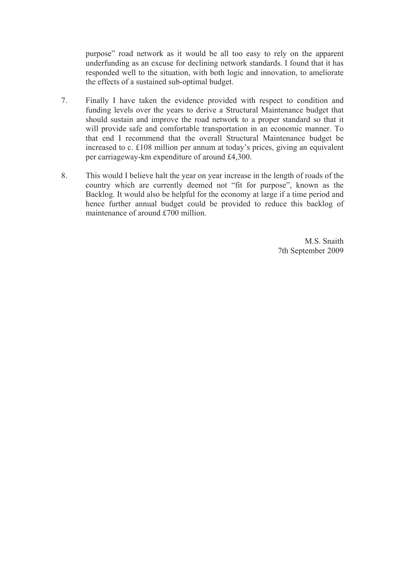purpose" road network as it would be all too easy to rely on the apparent underfunding as an excuse for declining network standards. I found that it has responded well to the situation, with both logic and innovation, to ameliorate the effects of a sustained sub-optimal budget.

- 7. Finally I have taken the evidence provided with respect to condition and funding levels over the years to derive a Structural Maintenance budget that should sustain and improve the road network to a proper standard so that it will provide safe and comfortable transportation in an economic manner. To that end I recommend that the overall Structural Maintenance budget be increased to c. £108 million per annum at today's prices, giving an equivalent per carriageway-km expenditure of around £4,300.
- 8. This would I believe halt the year on year increase in the length of roads of the country which are currently deemed not "fit for purpose", known as the Backlog. It would also be helpful for the economy at large if a time period and hence further annual budget could be provided to reduce this backlog of maintenance of around £700 million.

M.S. Snaith 7th September 2009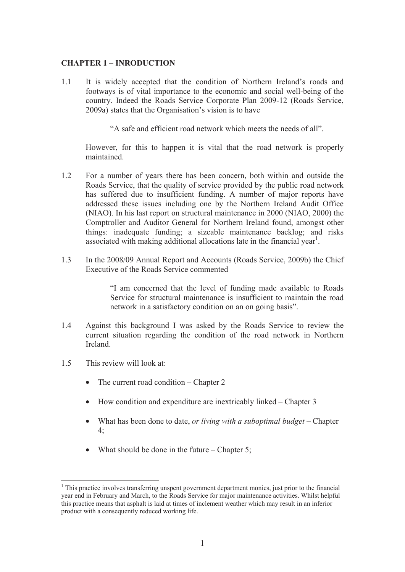#### **CHAPTER 1 – INRODUCTION**

1.1 It is widely accepted that the condition of Northern Ireland's roads and footways is of vital importance to the economic and social well-being of the country. Indeed the Roads Service Corporate Plan 2009-12 (Roads Service, 2009a) states that the Organisation's vision is to have

"A safe and efficient road network which meets the needs of all".

However, for this to happen it is vital that the road network is properly maintained.

- 1.2 For a number of years there has been concern, both within and outside the Roads Service, that the quality of service provided by the public road network has suffered due to insufficient funding. A number of major reports have addressed these issues including one by the Northern Ireland Audit Office (NIAO). In his last report on structural maintenance in 2000 (NIAO, 2000) the Comptroller and Auditor General for Northern Ireland found, amongst other things: inadequate funding; a sizeable maintenance backlog; and risks associated with making additional allocations late in the financial year<sup>1</sup>.
- 1.3 In the 2008/09 Annual Report and Accounts (Roads Service, 2009b) the Chief Executive of the Roads Service commented

"I am concerned that the level of funding made available to Roads Service for structural maintenance is insufficient to maintain the road network in a satisfactory condition on an on going basis".

- 1.4 Against this background I was asked by the Roads Service to review the current situation regarding the condition of the road network in Northern Ireland.
- 1.5 This review will look at:

 $\overline{a}$ 

- The current road condition Chapter 2
- How condition and expenditure are inextricably linked Chapter 3
- What has been done to date, *or living with a suboptimal budget* Chapter 4;
- What should be done in the future Chapter 5:

<sup>&</sup>lt;sup>1</sup> This practice involves transferring unspent government department monies, just prior to the financial year end in February and March, to the Roads Service for major maintenance activities. Whilst helpful this practice means that asphalt is laid at times of inclement weather which may result in an inferior product with a consequently reduced working life.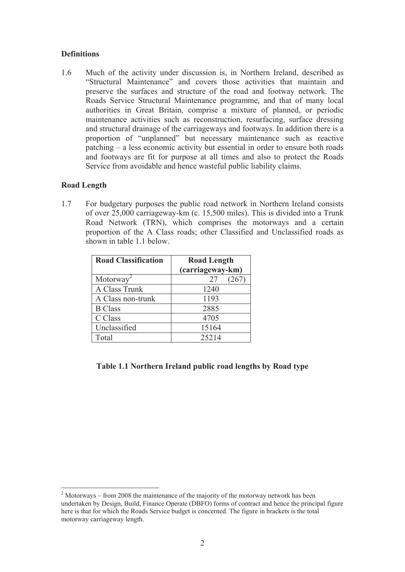### **Definitions**

1.6 Much of the activity under discussion is, in Northern Ireland, described as "Structural Maintenance" and covers those activities that maintain and preserve the surfaces and structure of the road and footway network. The Roads Service Structural Maintenance programme, and that of many local authorities in Great Britain, comprise a mixture of planned, or periodic maintenance activities such as reconstruction, resurfacing, surface dressing and structural drainage of the carriageways and footways. In addition there is a proportion of "unplanned" but necessary maintenance such as reactive patching – a less economic activity but essential in order to ensure both roads and footways are fit for purpose at all times and also to protect the Roads Service from avoidable and hence wasteful public liability claims.

#### **Road Length**

-

1.7 For budgetary purposes the public road network in Northern Ireland consists of over 25,000 carriageway-km (c. 15,500 miles). This is divided into a Trunk Road Network (TRN), which comprises the motorways and a certain proportion of the A Class roads; other Classified and Unclassified roads as shown in table 1.1 below.

| <b>Road Classification</b>            | <b>Road Length</b><br>(carriageway-km) |  |  |
|---------------------------------------|----------------------------------------|--|--|
| Motorway <sup><math>\sim</math></sup> | 27<br>267                              |  |  |
| A Class Trunk                         | 1240                                   |  |  |
| A Class non-trunk                     | 1193                                   |  |  |
| <b>B</b> Class                        | 2885                                   |  |  |
| C Class                               | 4705                                   |  |  |
| Unclassified                          | 15164                                  |  |  |
| Total                                 | 25214                                  |  |  |

## **Table 1.1 Northern Ireland public road lengths by Road type**

 $2$  Motorways – from 2008 the maintenance of the majority of the motorway network has been undertaken by Design, Build, Finance Operate (DBFO) forms of contract and hence the principal figure here is that for which the Roads Service budget is concerned. The figure in brackets is the total motorway carriageway length.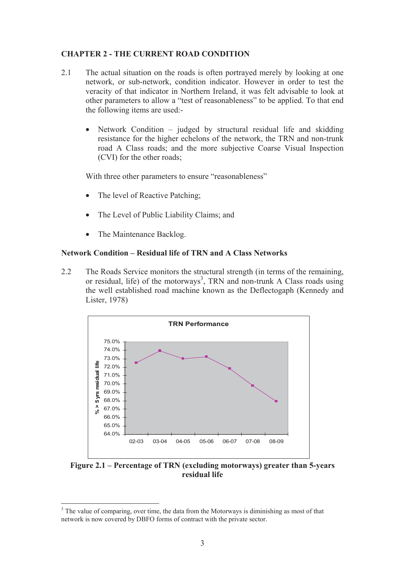## **CHAPTER 2 - THE CURRENT ROAD CONDITION**

- 2.1 The actual situation on the roads is often portrayed merely by looking at one network, or sub-network, condition indicator. However in order to test the veracity of that indicator in Northern Ireland, it was felt advisable to look at other parameters to allow a "test of reasonableness" to be applied. To that end the following items are used:-
	- Network Condition judged by structural residual life and skidding resistance for the higher echelons of the network, the TRN and non-trunk road A Class roads; and the more subjective Coarse Visual Inspection (CVI) for the other roads;

With three other parameters to ensure "reasonableness"

- The level of Reactive Patching;
- The Level of Public Liability Claims; and
- The Maintenance Backlog.

 $\overline{a}$ 

#### **Network Condition – Residual life of TRN and A Class Networks**

2.2 The Roads Service monitors the structural strength (in terms of the remaining, or residual, life) of the motorways<sup>3</sup>, TRN and non-trunk A Class roads using the well established road machine known as the Deflectogaph (Kennedy and Lister, 1978)



**Figure 2.1 – Percentage of TRN (excluding motorways) greater than 5-years residual life** 

 $3$  The value of comparing, over time, the data from the Motorways is diminishing as most of that network is now covered by DBFO forms of contract with the private sector.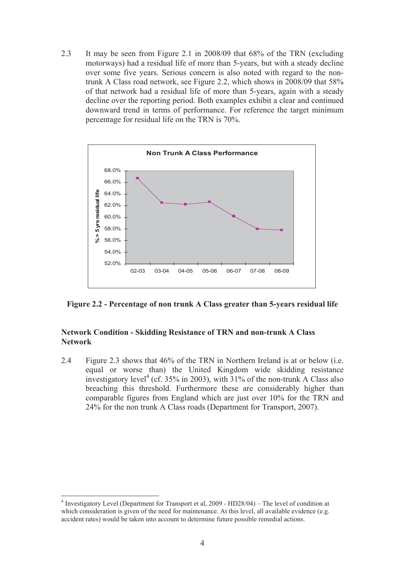2.3 It may be seen from Figure 2.1 in 2008/09 that 68% of the TRN (excluding motorways) had a residual life of more than 5-years, but with a steady decline over some five years. Serious concern is also noted with regard to the nontrunk A Class road network, see Figure 2.2, which shows in 2008/09 that 58% of that network had a residual life of more than 5-years, again with a steady decline over the reporting period. Both examples exhibit a clear and continued downward trend in terms of performance. For reference the target minimum percentage for residual life on the TRN is 70%.



**Figure 2.2 - Percentage of non trunk A Class greater than 5-years residual life** 

### **Network Condition - Skidding Resistance of TRN and non-trunk A Class Network**

2.4 Figure 2.3 shows that 46% of the TRN in Northern Ireland is at or below (i.e. equal or worse than) the United Kingdom wide skidding resistance investigatory level<sup>4</sup> (cf. 35% in 2003), with  $31%$  of the non-trunk A Class also breaching this threshold. Furthermore these are considerably higher than comparable figures from England which are just over 10% for the TRN and 24% for the non trunk A Class roads (Department for Transport, 2007).

-

<sup>&</sup>lt;sup>4</sup> Investigatory Level (Department for Transport et al, 2009 - HD28/04) - The level of condition at which consideration is given of the need for maintenance. At this level, all available evidence (e.g. accident rates) would be taken into account to determine future possible remedial actions.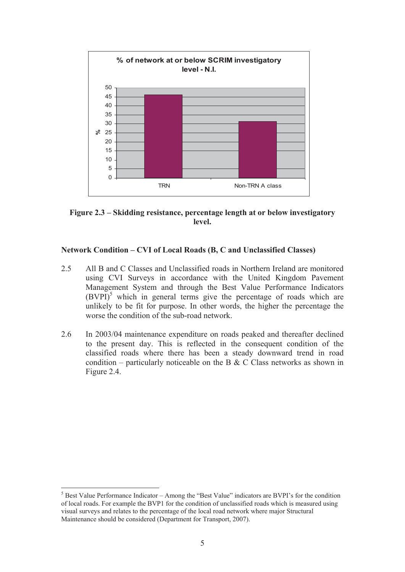

**Figure 2.3 – Skidding resistance, percentage length at or below investigatory level.** 

### **Network Condition – CVI of Local Roads (B, C and Unclassified Classes)**

- 2.5 All B and C Classes and Unclassified roads in Northern Ireland are monitored using CVI Surveys in accordance with the United Kingdom Pavement Management System and through the Best Value Performance Indicators  $(BVPI)^5$  which in general terms give the percentage of roads which are unlikely to be fit for purpose. In other words, the higher the percentage the worse the condition of the sub-road network.
- 2.6 In 2003/04 maintenance expenditure on roads peaked and thereafter declined to the present day. This is reflected in the consequent condition of the classified roads where there has been a steady downward trend in road condition – particularly noticeable on the B  $&$  C Class networks as shown in Figure 2.4.

-

 $<sup>5</sup>$  Best Value Performance Indicator – Among the "Best Value" indicators are BVPI's for the condition</sup> of local roads. For example the BVP1 for the condition of unclassified roads which is measured using visual surveys and relates to the percentage of the local road network where major Structural Maintenance should be considered (Department for Transport, 2007).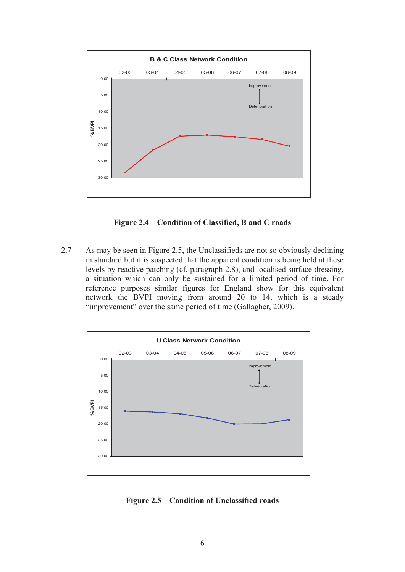

**Figure 2.4 – Condition of Classified, B and C roads** 

2.7 As may be seen in Figure 2.5, the Unclassifieds are not so obviously declining in standard but it is suspected that the apparent condition is being held at these levels by reactive patching (cf. paragraph 2.8), and localised surface dressing, a situation which can only be sustained for a limited period of time. For reference purposes similar figures for England show for this equivalent network the BVPI moving from around 20 to 14, which is a steady "improvement" over the same period of time (Gallagher, 2009).



**Figure 2.5 – Condition of Unclassified roads**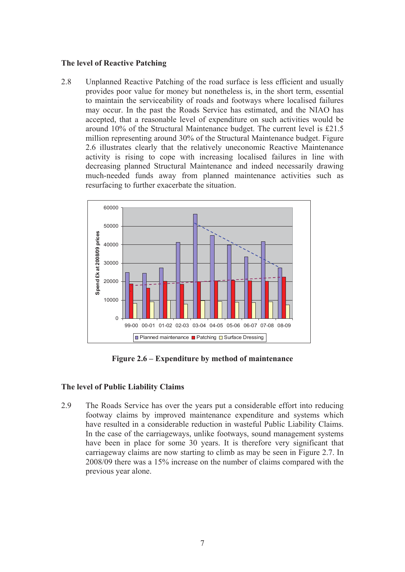#### **The level of Reactive Patching**

2.8 Unplanned Reactive Patching of the road surface is less efficient and usually provides poor value for money but nonetheless is, in the short term, essential to maintain the serviceability of roads and footways where localised failures may occur. In the past the Roads Service has estimated, and the NIAO has accepted, that a reasonable level of expenditure on such activities would be around 10% of the Structural Maintenance budget. The current level is £21.5 million representing around 30% of the Structural Maintenance budget. Figure 2.6 illustrates clearly that the relatively uneconomic Reactive Maintenance activity is rising to cope with increasing localised failures in line with decreasing planned Structural Maintenance and indeed necessarily drawing much-needed funds away from planned maintenance activities such as resurfacing to further exacerbate the situation.



**Figure 2.6 – Expenditure by method of maintenance** 

## **The level of Public Liability Claims**

2.9 The Roads Service has over the years put a considerable effort into reducing footway claims by improved maintenance expenditure and systems which have resulted in a considerable reduction in wasteful Public Liability Claims. In the case of the carriageways, unlike footways, sound management systems have been in place for some 30 years. It is therefore very significant that carriageway claims are now starting to climb as may be seen in Figure 2.7. In 2008/09 there was a 15% increase on the number of claims compared with the previous year alone.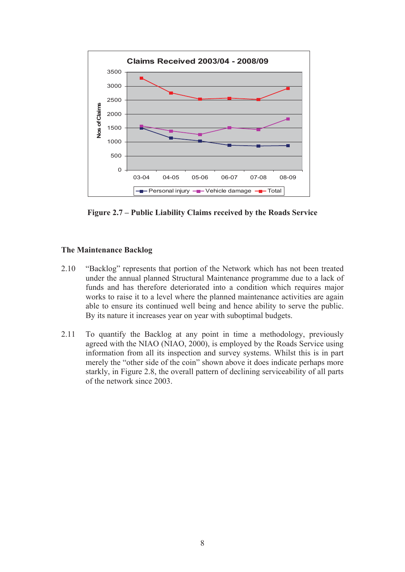

**Figure 2.7 – Public Liability Claims received by the Roads Service** 

## **The Maintenance Backlog**

- 2.10 "Backlog" represents that portion of the Network which has not been treated under the annual planned Structural Maintenance programme due to a lack of funds and has therefore deteriorated into a condition which requires major works to raise it to a level where the planned maintenance activities are again able to ensure its continued well being and hence ability to serve the public. By its nature it increases year on year with suboptimal budgets.
- 2.11 To quantify the Backlog at any point in time a methodology, previously agreed with the NIAO (NIAO, 2000), is employed by the Roads Service using information from all its inspection and survey systems. Whilst this is in part merely the "other side of the coin" shown above it does indicate perhaps more starkly, in Figure 2.8, the overall pattern of declining serviceability of all parts of the network since 2003.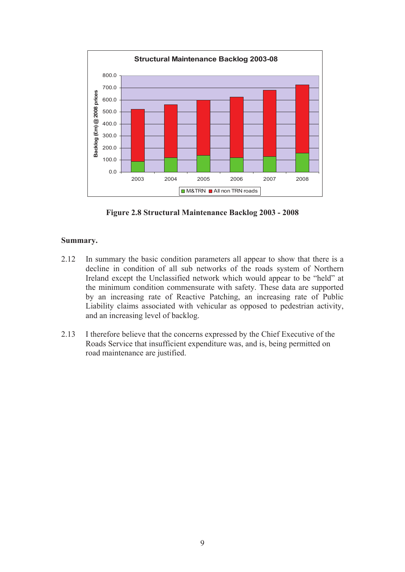

**Figure 2.8 Structural Maintenance Backlog 2003 - 2008** 

## **Summary.**

- 2.12 In summary the basic condition parameters all appear to show that there is a decline in condition of all sub networks of the roads system of Northern Ireland except the Unclassified network which would appear to be "held" at the minimum condition commensurate with safety. These data are supported by an increasing rate of Reactive Patching, an increasing rate of Public Liability claims associated with vehicular as opposed to pedestrian activity, and an increasing level of backlog.
- 2.13 I therefore believe that the concerns expressed by the Chief Executive of the Roads Service that insufficient expenditure was, and is, being permitted on road maintenance are justified.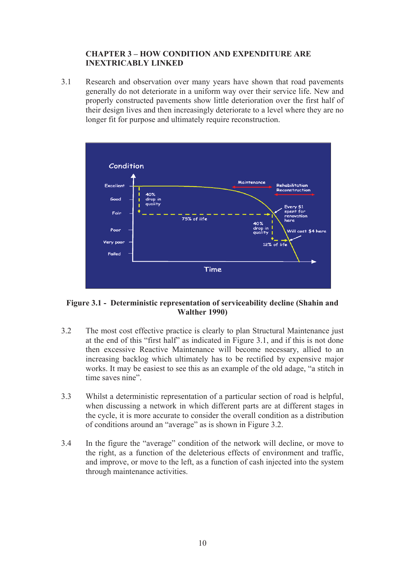## **CHAPTER 3 – HOW CONDITION AND EXPENDITURE ARE INEXTRICABLY LINKED**

3.1 Research and observation over many years have shown that road pavements generally do not deteriorate in a uniform way over their service life. New and properly constructed pavements show little deterioration over the first half of their design lives and then increasingly deteriorate to a level where they are no longer fit for purpose and ultimately require reconstruction.



#### **Figure 3.1 - Deterministic representation of serviceability decline (Shahin and Walther 1990)**

- 3.2 The most cost effective practice is clearly to plan Structural Maintenance just at the end of this "first half" as indicated in Figure 3.1, and if this is not done then excessive Reactive Maintenance will become necessary, allied to an increasing backlog which ultimately has to be rectified by expensive major works. It may be easiest to see this as an example of the old adage, "a stitch in time saves nine".
- 3.3 Whilst a deterministic representation of a particular section of road is helpful, when discussing a network in which different parts are at different stages in the cycle, it is more accurate to consider the overall condition as a distribution of conditions around an "average" as is shown in Figure 3.2.
- 3.4 In the figure the "average" condition of the network will decline, or move to the right, as a function of the deleterious effects of environment and traffic, and improve, or move to the left, as a function of cash injected into the system through maintenance activities.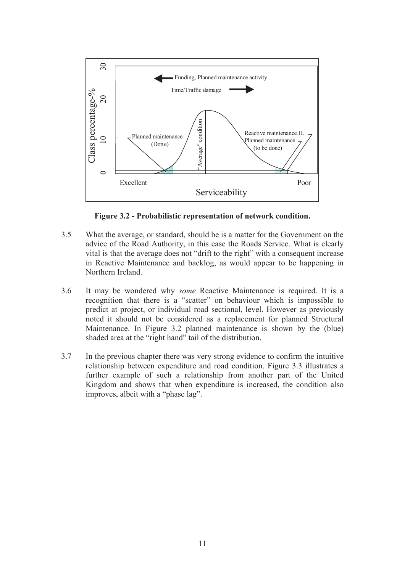

**Figure 3.2 - Probabilistic representation of network condition.** 

- 3.5 What the average, or standard, should be is a matter for the Government on the advice of the Road Authority, in this case the Roads Service. What is clearly vital is that the average does not "drift to the right" with a consequent increase in Reactive Maintenance and backlog, as would appear to be happening in Northern Ireland.
- 3.6 It may be wondered why *some* Reactive Maintenance is required. It is a recognition that there is a "scatter" on behaviour which is impossible to predict at project, or individual road sectional, level. However as previously noted it should not be considered as a replacement for planned Structural Maintenance. In Figure 3.2 planned maintenance is shown by the (blue) shaded area at the "right hand" tail of the distribution.
- 3.7 In the previous chapter there was very strong evidence to confirm the intuitive relationship between expenditure and road condition. Figure 3.3 illustrates a further example of such a relationship from another part of the United Kingdom and shows that when expenditure is increased, the condition also improves, albeit with a "phase lag".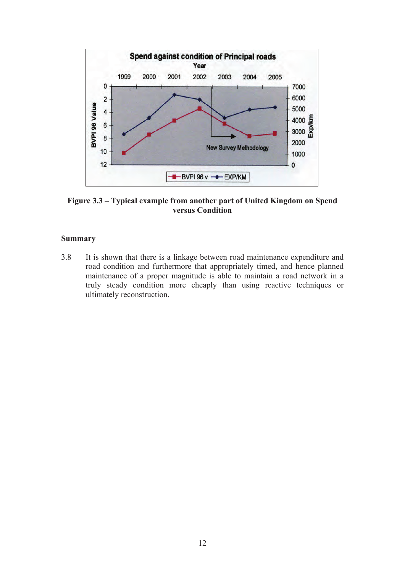

**Figure 3.3 – Typical example from another part of United Kingdom on Spend versus Condition** 

#### **Summary**

3.8 It is shown that there is a linkage between road maintenance expenditure and road condition and furthermore that appropriately timed, and hence planned maintenance of a proper magnitude is able to maintain a road network in a truly steady condition more cheaply than using reactive techniques or ultimately reconstruction.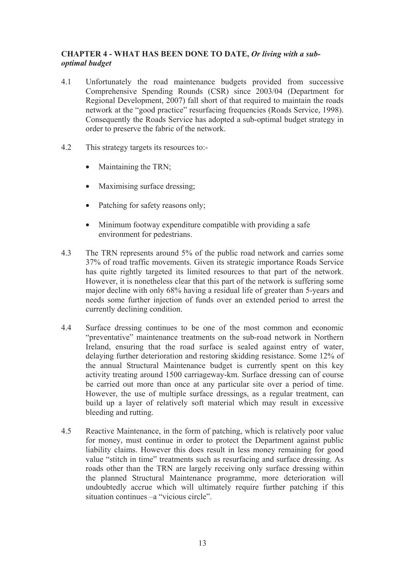## **CHAPTER 4 - WHAT HAS BEEN DONE TO DATE,** *Or living with a suboptimal budget*

- 4.1 Unfortunately the road maintenance budgets provided from successive Comprehensive Spending Rounds (CSR) since 2003/04 (Department for Regional Development, 2007) fall short of that required to maintain the roads network at the "good practice" resurfacing frequencies (Roads Service, 1998). Consequently the Roads Service has adopted a sub-optimal budget strategy in order to preserve the fabric of the network.
- 4.2 This strategy targets its resources to:-
	- Maintaining the TRN;
	- Maximising surface dressing;
	- Patching for safety reasons only;
	- Minimum footway expenditure compatible with providing a safe environment for pedestrians.
- 4.3 The TRN represents around 5% of the public road network and carries some 37% of road traffic movements. Given its strategic importance Roads Service has quite rightly targeted its limited resources to that part of the network. However, it is nonetheless clear that this part of the network is suffering some major decline with only 68% having a residual life of greater than 5-years and needs some further injection of funds over an extended period to arrest the currently declining condition.
- 4.4 Surface dressing continues to be one of the most common and economic "preventative" maintenance treatments on the sub-road network in Northern Ireland, ensuring that the road surface is sealed against entry of water, delaying further deterioration and restoring skidding resistance. Some 12% of the annual Structural Maintenance budget is currently spent on this key activity treating around 1500 carriageway-km. Surface dressing can of course be carried out more than once at any particular site over a period of time. However, the use of multiple surface dressings, as a regular treatment, can build up a layer of relatively soft material which may result in excessive bleeding and rutting.
- 4.5 Reactive Maintenance, in the form of patching, which is relatively poor value for money, must continue in order to protect the Department against public liability claims. However this does result in less money remaining for good value "stitch in time" treatments such as resurfacing and surface dressing. As roads other than the TRN are largely receiving only surface dressing within the planned Structural Maintenance programme, more deterioration will undoubtedly accrue which will ultimately require further patching if this situation continues –a "vicious circle".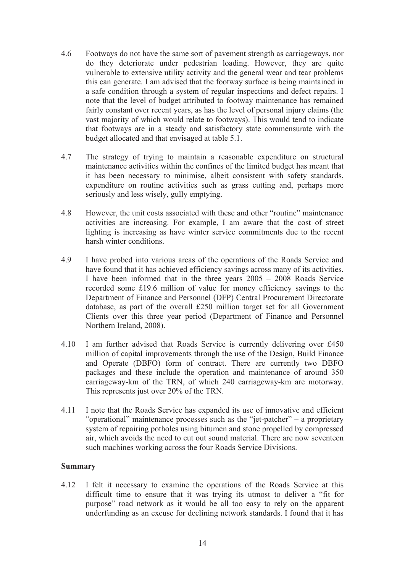- 4.6 Footways do not have the same sort of pavement strength as carriageways, nor do they deteriorate under pedestrian loading. However, they are quite vulnerable to extensive utility activity and the general wear and tear problems this can generate. I am advised that the footway surface is being maintained in a safe condition through a system of regular inspections and defect repairs. I note that the level of budget attributed to footway maintenance has remained fairly constant over recent years, as has the level of personal injury claims (the vast majority of which would relate to footways). This would tend to indicate that footways are in a steady and satisfactory state commensurate with the budget allocated and that envisaged at table 5.1.
- 4.7 The strategy of trying to maintain a reasonable expenditure on structural maintenance activities within the confines of the limited budget has meant that it has been necessary to minimise, albeit consistent with safety standards, expenditure on routine activities such as grass cutting and, perhaps more seriously and less wisely, gully emptying.
- 4.8 However, the unit costs associated with these and other "routine" maintenance activities are increasing. For example, I am aware that the cost of street lighting is increasing as have winter service commitments due to the recent harsh winter conditions.
- 4.9 I have probed into various areas of the operations of the Roads Service and have found that it has achieved efficiency savings across many of its activities. I have been informed that in the three years 2005 – 2008 Roads Service recorded some £19.6 million of value for money efficiency savings to the Department of Finance and Personnel (DFP) Central Procurement Directorate database, as part of the overall £250 million target set for all Government Clients over this three year period (Department of Finance and Personnel Northern Ireland, 2008).
- 4.10 I am further advised that Roads Service is currently delivering over £450 million of capital improvements through the use of the Design, Build Finance and Operate (DBFO) form of contract. There are currently two DBFO packages and these include the operation and maintenance of around 350 carriageway-km of the TRN, of which 240 carriageway-km are motorway. This represents just over 20% of the TRN.
- 4.11 I note that the Roads Service has expanded its use of innovative and efficient "operational" maintenance processes such as the "jet-patcher" – a proprietary system of repairing potholes using bitumen and stone propelled by compressed air, which avoids the need to cut out sound material. There are now seventeen such machines working across the four Roads Service Divisions.

## **Summary**

4.12 I felt it necessary to examine the operations of the Roads Service at this difficult time to ensure that it was trying its utmost to deliver a "fit for purpose" road network as it would be all too easy to rely on the apparent underfunding as an excuse for declining network standards. I found that it has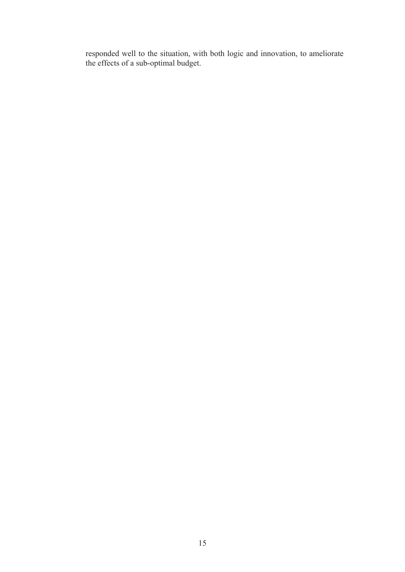responded well to the situation, with both logic and innovation, to ameliorate the effects of a sub-optimal budget.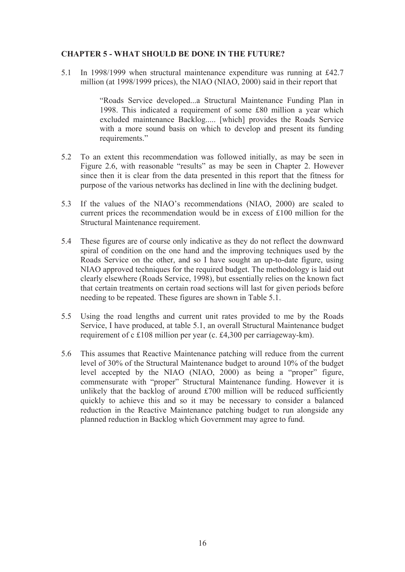## **CHAPTER 5 - WHAT SHOULD BE DONE IN THE FUTURE?**

5.1 In 1998/1999 when structural maintenance expenditure was running at £42.7 million (at 1998/1999 prices), the NIAO (NIAO, 2000) said in their report that

> "Roads Service developed...a Structural Maintenance Funding Plan in 1998. This indicated a requirement of some £80 million a year which excluded maintenance Backlog..... [which] provides the Roads Service with a more sound basis on which to develop and present its funding requirements."

- 5.2 To an extent this recommendation was followed initially, as may be seen in Figure 2.6, with reasonable "results" as may be seen in Chapter 2. However since then it is clear from the data presented in this report that the fitness for purpose of the various networks has declined in line with the declining budget.
- 5.3 If the values of the NIAO's recommendations (NIAO, 2000) are scaled to current prices the recommendation would be in excess of £100 million for the Structural Maintenance requirement.
- 5.4 These figures are of course only indicative as they do not reflect the downward spiral of condition on the one hand and the improving techniques used by the Roads Service on the other, and so I have sought an up-to-date figure, using NIAO approved techniques for the required budget. The methodology is laid out clearly elsewhere (Roads Service, 1998), but essentially relies on the known fact that certain treatments on certain road sections will last for given periods before needing to be repeated. These figures are shown in Table 5.1.
- 5.5 Using the road lengths and current unit rates provided to me by the Roads Service, I have produced, at table 5.1, an overall Structural Maintenance budget requirement of c £108 million per year (c. £4,300 per carriageway-km).
- 5.6 This assumes that Reactive Maintenance patching will reduce from the current level of 30% of the Structural Maintenance budget to around 10% of the budget level accepted by the NIAO (NIAO, 2000) as being a "proper" figure, commensurate with "proper" Structural Maintenance funding. However it is unlikely that the backlog of around £700 million will be reduced sufficiently quickly to achieve this and so it may be necessary to consider a balanced reduction in the Reactive Maintenance patching budget to run alongside any planned reduction in Backlog which Government may agree to fund.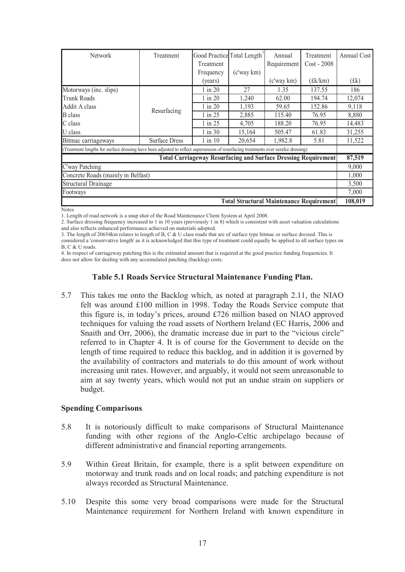| <b>Network</b>                                                                                                                      | Treatment            | Good Practice | Total Length <sup>1</sup> | Annual      | Treatment     | Annual Cost |
|-------------------------------------------------------------------------------------------------------------------------------------|----------------------|---------------|---------------------------|-------------|---------------|-------------|
|                                                                                                                                     |                      | Treatment     |                           | Requirement | $Cost - 2008$ |             |
|                                                                                                                                     |                      | Frequency     | (c'way km)                |             |               |             |
|                                                                                                                                     |                      | (years)       |                           | (c'way km)  | (£k/km)       | (fk)        |
| Motorways (inc. slips)                                                                                                              |                      | $1$ in $20$   | 27                        | 1.35        | 137.55        | 186         |
| Trunk Roads                                                                                                                         | Resurfacing          | $1$ in $20$   | 1,240                     | 62.00       | 194.74        | 12,074      |
| Addit A class                                                                                                                       |                      | $1$ in $20$   | 1,193                     | 59.65       | 152.86        | 9,118       |
| <b>B</b> class                                                                                                                      |                      | $1$ in 25     | 2,885                     | 115.40      | 76.95         | 8,880       |
| C class                                                                                                                             |                      | $1$ in 25     | 4,705                     | 188.20      | 76.95         | 14,483      |
| U class                                                                                                                             |                      | $1$ in $30$   | 15,164                    | 505.47      | 61.83         | 31,255      |
| Bitmac carriageways                                                                                                                 | <b>Surface Dress</b> | $1$ in $10$   | 20,654                    | 1,982.8     | 5.81          | 11,522      |
| (Treatment lengths for surface dressing have been adjusted to reflect supersession of resurfacing treatments over surafce dressing) |                      |               |                           |             |               |             |
| <b>Total Carriageway Resurfacing and Surface Dressing Requirement</b>                                                               |                      |               |                           |             |               | 87,519      |
| C'way Patching                                                                                                                      |                      |               |                           |             |               | 9,000       |
| Concrete Roads (mainly in Belfast)                                                                                                  |                      |               |                           |             |               | 1,000       |
| <b>Structural Drainage</b>                                                                                                          |                      |               |                           |             |               | 3,500       |
| Footways                                                                                                                            |                      |               |                           |             | 7,000         |             |
| <b>Total Structural Maintenance Requirement</b>                                                                                     |                      |               |                           |             |               | 108,019     |

Notes

1. Length of road network is a snap shot of the Road Maintenance Client System at April 2008.

2. Surface dressing frequency increased to 1 in 10 years (previously 1 in 8) which is consistent with asset valuation calculations and also reflects enhanced performance achieved on materials adopted.

3. The length of 20654km relates to length of B, C & U class roads that are of surface type bitmac or surface dressed. This is considered a 'conservative length' as it is acknowledged that this type of treatment could equally be applied to all surface types on  $R \cap \&$  I l roads.

4. In respect of carriageway patching this is the estimated amount that is required at the good practice funding frequencies. It does not allow for dealing with any accumulated patching (backlog) costs.

#### **Table 5.1 Roads Service Structural Maintenance Funding Plan.**

5.7 This takes me onto the Backlog which, as noted at paragraph 2.11, the NIAO felt was around £100 million in 1998. Today the Roads Service compute that this figure is, in today's prices, around £726 million based on NIAO approved techniques for valuing the road assets of Northern Ireland (EC Harris, 2006 and Snaith and Orr, 2006), the dramatic increase due in part to the "vicious circle" referred to in Chapter 4. It is of course for the Government to decide on the length of time required to reduce this backlog, and in addition it is governed by the availability of contractors and materials to do this amount of work without increasing unit rates. However, and arguably, it would not seem unreasonable to aim at say twenty years, which would not put an undue strain on suppliers or budget.

#### **Spending Comparisons**

- 5.8 It is notoriously difficult to make comparisons of Structural Maintenance funding with other regions of the Anglo-Celtic archipelago because of different administrative and financial reporting arrangements.
- 5.9 Within Great Britain, for example, there is a split between expenditure on motorway and trunk roads and on local roads; and patching expenditure is not always recorded as Structural Maintenance.
- 5.10 Despite this some very broad comparisons were made for the Structural Maintenance requirement for Northern Ireland with known expenditure in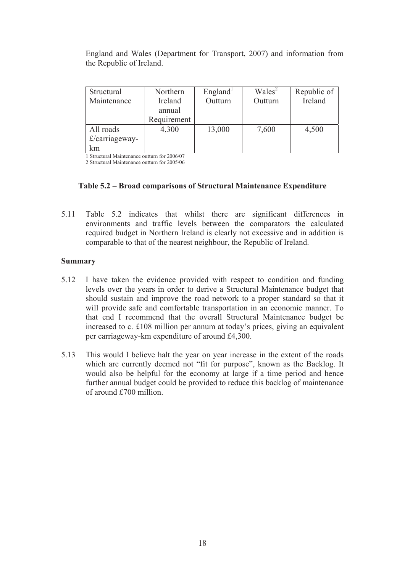England and Wales (Department for Transport, 2007) and information from the Republic of Ireland.

| Structural     | Northern    | Englished <sup>1</sup> | Wales <sup>2</sup> | Republic of |
|----------------|-------------|------------------------|--------------------|-------------|
| Maintenance    | Ireland     | Outturn                | Outturn            | Ireland     |
|                | annual      |                        |                    |             |
|                | Requirement |                        |                    |             |
| All roads      | 4,300       | 13,000                 | 7,600              | 4,500       |
| £/carriageway- |             |                        |                    |             |
| km             |             |                        |                    |             |

1 Structural Maintenance outturn for 2006/07

2 Structural Maintenance outturn for 2005/06

### **Table 5.2 – Broad comparisons of Structural Maintenance Expenditure**

5.11 Table 5.2 indicates that whilst there are significant differences in environments and traffic levels between the comparators the calculated required budget in Northern Ireland is clearly not excessive and in addition is comparable to that of the nearest neighbour, the Republic of Ireland.

#### **Summary**

- 5.12 I have taken the evidence provided with respect to condition and funding levels over the years in order to derive a Structural Maintenance budget that should sustain and improve the road network to a proper standard so that it will provide safe and comfortable transportation in an economic manner. To that end I recommend that the overall Structural Maintenance budget be increased to c. £108 million per annum at today's prices, giving an equivalent per carriageway-km expenditure of around £4,300.
- 5.13 This would I believe halt the year on year increase in the extent of the roads which are currently deemed not "fit for purpose", known as the Backlog. It would also be helpful for the economy at large if a time period and hence further annual budget could be provided to reduce this backlog of maintenance of around £700 million.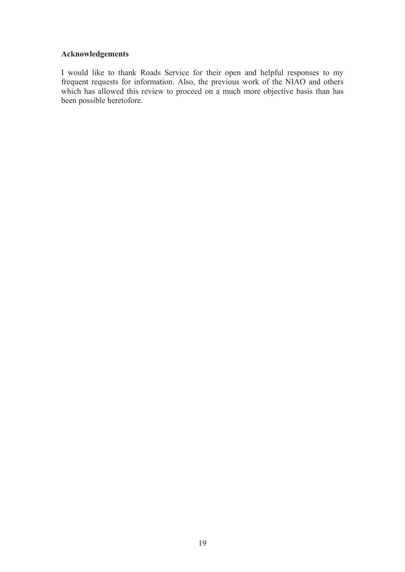## **Acknowledgements**

I would like to thank Roads Service for their open and helpful responses to my frequent requests for information. Also, the previous work of the NIAO and others which has allowed this review to proceed on a much more objective basis than has been possible heretofore.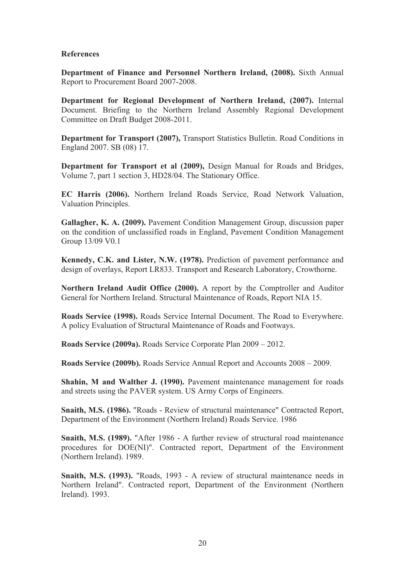#### **References**

**Department of Finance and Personnel Northern Ireland, (2008).** Sixth Annual Report to Procurement Board 2007-2008.

**Department for Regional Development of Northern Ireland, (2007).** Internal Document. Briefing to the Northern Ireland Assembly Regional Development Committee on Draft Budget 2008-2011.

**Department for Transport (2007), Transport Statistics Bulletin. Road Conditions in** England 2007. SB (08) 17.

**Department for Transport et al (2009),** Design Manual for Roads and Bridges, Volume 7, part 1 section 3, HD28/04. The Stationary Office.

**EC Harris (2006).** Northern Ireland Roads Service, Road Network Valuation, Valuation Principles.

**Gallagher, K. A. (2009).** Pavement Condition Management Group, discussion paper on the condition of unclassified roads in England, Pavement Condition Management Group 13/09 V0.1

**Kennedy, C.K. and Lister, N.W. (1978).** Prediction of pavement performance and design of overlays, Report LR833. Transport and Research Laboratory, Crowthorne.

**Northern Ireland Audit Office (2000).** A report by the Comptroller and Auditor General for Northern Ireland. Structural Maintenance of Roads, Report NIA 15.

**Roads Service (1998).** Roads Service Internal Document. The Road to Everywhere. A policy Evaluation of Structural Maintenance of Roads and Footways.

**Roads Service (2009a).** Roads Service Corporate Plan 2009 – 2012.

**Roads Service (2009b).** Roads Service Annual Report and Accounts 2008 – 2009.

**Shahin, M and Walther J. (1990).** Pavement maintenance management for roads and streets using the PAVER system. US Army Corps of Engineers.

**Snaith, M.S. (1986).** "Roads - Review of structural maintenance" Contracted Report, Department of the Environment (Northern Ireland) Roads Service. 1986

**Snaith, M.S. (1989).** "After 1986 - A further review of structural road maintenance procedures for DOE(NI)". Contracted report, Department of the Environment (Northern Ireland). 1989.

**Snaith, M.S. (1993).** "Roads, 1993 - A review of structural maintenance needs in Northern Ireland". Contracted report, Department of the Environment (Northern Ireland). 1993.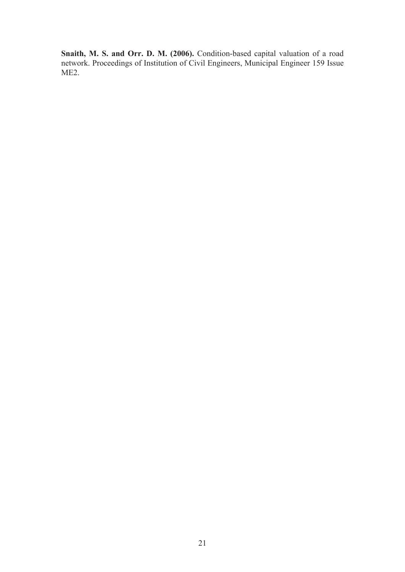**Snaith, M. S. and Orr. D. M. (2006).** Condition-based capital valuation of a road network. Proceedings of Institution of Civil Engineers, Municipal Engineer 159 Issue ME2.